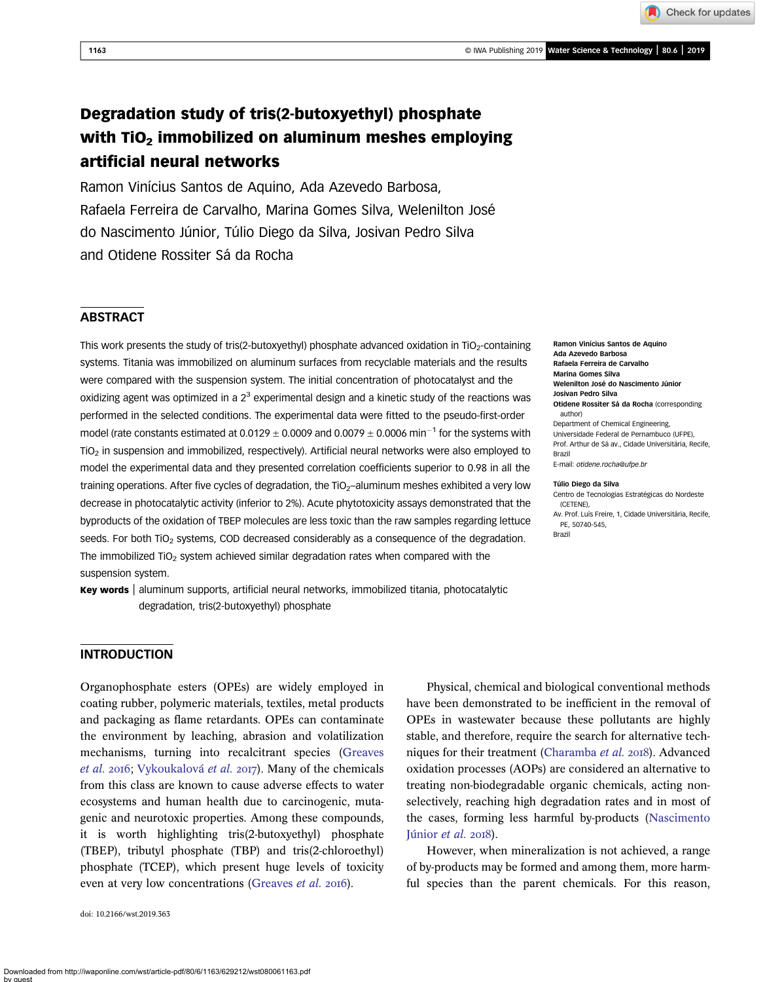Check for updates

# Degradation study of tris(2-butoxyethyl) phosphate with TiO<sub>2</sub> immobilized on aluminum meshes employing artificial neural networks

Ramon Vinícius Santos de Aquino, Ada Azevedo Barbosa, Rafaela Ferreira de Carvalho, Marina Gomes Silva, Welenilton José do Nascimento Júnior, Túlio Diego da Silva, Josivan Pedro Silva and Otidene Rossiter Sá da Rocha

# **ABSTRACT**

This work presents the study of tris(2-butoxyethyl) phosphate advanced oxidation in TiO<sub>2</sub>-containing systems. Titania was immobilized on aluminum surfaces from recyclable materials and the results were compared with the suspension system. The initial concentration of photocatalyst and the oxidizing agent was optimized in a  $2<sup>3</sup>$  experimental design and a kinetic study of the reactions was performed in the selected conditions. The experimental data were fitted to the pseudo-first-order model (rate constants estimated at 0.0129  $\pm$  0.0009 and 0.0079  $\pm$  0.0006 min<sup>-1</sup> for the systems with TiO2 in suspension and immobilized, respectively). Artificial neural networks were also employed to model the experimental data and they presented correlation coefficients superior to 0.98 in all the training operations. After five cycles of degradation, the TiO<sub>2</sub>-aluminum meshes exhibited a very low decrease in photocatalytic activity (inferior to 2%). Acute phytotoxicity assays demonstrated that the byproducts of the oxidation of TBEP molecules are less toxic than the raw samples regarding lettuce seeds. For both TiO<sub>2</sub> systems, COD decreased considerably as a consequence of the degradation. The immobilized  $TiO<sub>2</sub>$  system achieved similar degradation rates when compared with the suspension system.

Key words | aluminum supports, artificial neural networks, immobilized titania, photocatalytic degradation, tris(2-butoxyethyl) phosphate

Ramon Vinícius Santos de Aquino Ada Azevedo Barbosa Rafaela Ferreira de Carvalho Marina Gomes Silva Welenilton José do Nascimento Júnior Josivan Pedro Silva Otidene Rossiter Sá da Rocha (corresponding author) Department of Chemical Engineering, Universidade Federal de Pernambuco (UFPE), Prof. Arthur de Sá av., Cidade Universitária, Recife, Brazil E-mail: [otidene.rocha@ufpe.br](mailto:otidene.rocha@ufpe.br)

#### Túlio Diego da Silva

Centro de Tecnologias Estratégicas do Nordeste (CETENE),

Av. Prof. Luís Freire, 1, Cidade Universitária, Recife, PE, 50740-545, Brazil

INTRODUCTION

Organophosphate esters (OPEs) are widely employed in coating rubber, polymeric materials, textiles, metal products and packaging as flame retardants. OPEs can contaminate the environment by leaching, abrasion and volatilization mechanisms, turning into recalcitrant species [\(Greaves](#page-9-0) [et al.](#page-9-0) 2016; [Vykoukalová](#page-9-0) et al. 2017). Many of the chemicals from this class are known to cause adverse effects to water ecosystems and human health due to carcinogenic, mutagenic and neurotoxic properties. Among these compounds, it is worth highlighting tris(2-butoxyethyl) phosphate (TBEP), tributyl phosphate (TBP) and tris(2-chloroethyl) phosphate (TCEP), which present huge levels of toxicity even at very low concentrations [\(Greaves](#page-9-0) et al. 2016).

doi: 10.2166/wst.2019.363

Physical, chemical and biological conventional methods have been demonstrated to be inefficient in the removal of OPEs in wastewater because these pollutants are highly stable, and therefore, require the search for alternative tech-niques for their treatment ([Charamba](#page-9-0) et al. 2018). Advanced oxidation processes (AOPs) are considered an alternative to treating non-biodegradable organic chemicals, acting nonselectively, reaching high degradation rates and in most of the cases, forming less harmful by-products [\(Nascimento](#page-9-0) [Júnior](#page-9-0) et al.  $2018$ ).

However, when mineralization is not achieved, a range of by-products may be formed and among them, more harmful species than the parent chemicals. For this reason,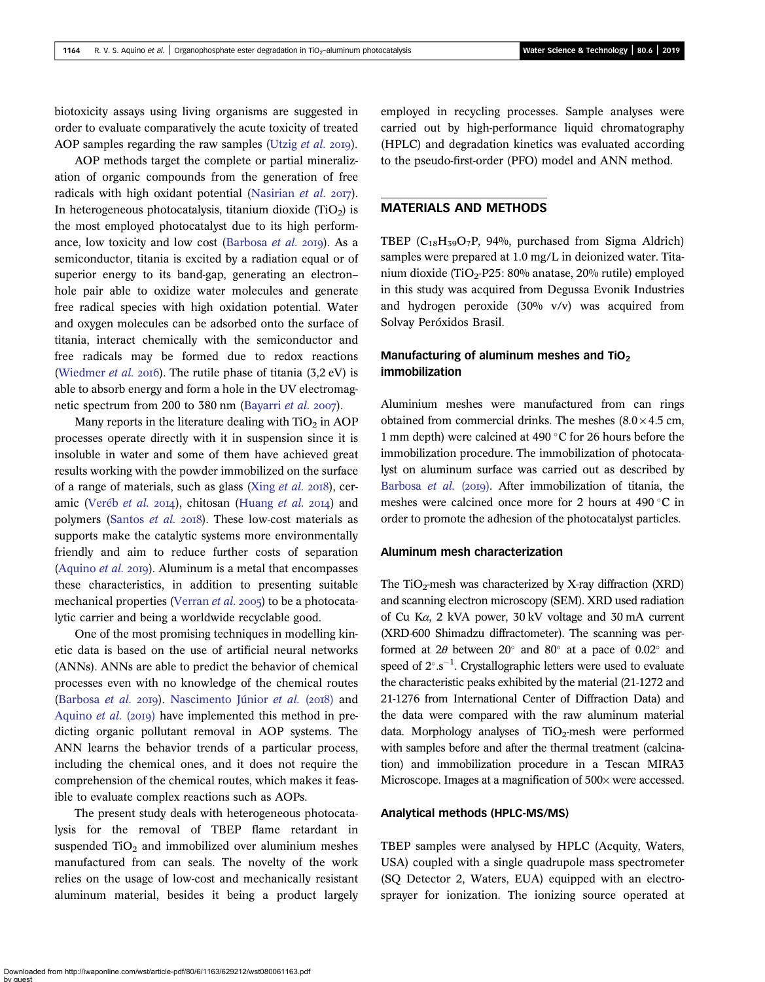biotoxicity assays using living organisms are suggested in order to evaluate comparatively the acute toxicity of treated AOP samples regarding the raw samples [\(Utzig](#page-9-0) et al. 2019).

AOP methods target the complete or partial mineralization of organic compounds from the generation of free radicals with high oxidant potential [\(Nasirian](#page-9-0)  $et$   $al.$  2017). In heterogeneous photocatalysis, titanium dioxide  $(TiO<sub>2</sub>)$  is the most employed photocatalyst due to its high perform-ance, low toxicity and low cost [\(Barbosa](#page-8-0)  $et$   $al.$  2019). As a semiconductor, titania is excited by a radiation equal or of superior energy to its band-gap, generating an electron– hole pair able to oxidize water molecules and generate free radical species with high oxidation potential. Water and oxygen molecules can be adsorbed onto the surface of titania, interact chemically with the semiconductor and free radicals may be formed due to redox reactions ([Wiedmer](#page-10-0) *et al.* 2016). The rutile phase of titania  $(3.2 \text{ eV})$  is able to absorb energy and form a hole in the UV electromag-netic spectrum from 200 to 380 nm [\(Bayarri](#page-9-0) *et al.*  $2007$ ).

Many reports in the literature dealing with  $TiO<sub>2</sub>$  in AOP processes operate directly with it in suspension since it is insoluble in water and some of them have achieved great results working with the powder immobilized on the surface of a range of materials, such as glass (Xing *[et al.](#page-10-0)* 2018), cer-amic [\(Veréb](#page-9-0) et al. 2014), chitosan [\(Huang](#page-9-0) et al. 2014) and polymers ([Santos](#page-9-0) et al. 2018). These low-cost materials as supports make the catalytic systems more environmentally friendly and aim to reduce further costs of separation ([Aquino](#page-8-0)  $et$  al.  $20I9$ ). Aluminum is a metal that encompasses these characteristics, in addition to presenting suitable mechanical properties [\(Verran](#page-9-0) et al. 2005) to be a photocatalytic carrier and being a worldwide recyclable good.

One of the most promising techniques in modelling kinetic data is based on the use of artificial neural networks (ANNs). ANNs are able to predict the behavior of chemical processes even with no knowledge of the chemical routes ([Barbosa](#page-8-0) et al. 2019). [Nascimento Júnior](#page-9-0) et al. (2018) and [Aquino](#page-8-0) *et al.* (2019) have implemented this method in predicting organic pollutant removal in AOP systems. The ANN learns the behavior trends of a particular process, including the chemical ones, and it does not require the comprehension of the chemical routes, which makes it feasible to evaluate complex reactions such as AOPs.

The present study deals with heterogeneous photocatalysis for the removal of TBEP flame retardant in suspended  $TiO<sub>2</sub>$  and immobilized over aluminium meshes manufactured from can seals. The novelty of the work relies on the usage of low-cost and mechanically resistant aluminum material, besides it being a product largely employed in recycling processes. Sample analyses were carried out by high-performance liquid chromatography (HPLC) and degradation kinetics was evaluated according to the pseudo-first-order (PFO) model and ANN method.

## MATERIALS AND METHODS

TBEP  $(C_{18}H_{39}O_7P, 94\%$ , purchased from Sigma Aldrich) samples were prepared at 1.0 mg/L in deionized water. Titanium dioxide (TiO<sub>2</sub>-P25: 80% anatase, 20% rutile) employed in this study was acquired from Degussa Evonik Industries and hydrogen peroxide (30% v/v) was acquired from Solvay Peróxidos Brasil.

## Manufacturing of aluminum meshes and  $TiO<sub>2</sub>$ immobilization

Aluminium meshes were manufactured from can rings obtained from commercial drinks. The meshes  $(8.0 \times 4.5 \text{ cm},$ 1 mm depth) were calcined at 490  $\degree$ C for 26 hours before the immobilization procedure. The immobilization of photocatalyst on aluminum surface was carried out as described by [Barbosa](#page-8-0) et al. (2019). After immobilization of titania, the meshes were calcined once more for 2 hours at 490 $\degree$ C in order to promote the adhesion of the photocatalyst particles.

#### Aluminum mesh characterization

The TiO<sub>2</sub>-mesh was characterized by X-ray diffraction  $(XRD)$ and scanning electron microscopy (SEM). XRD used radiation of Cu Kα, 2 kVA power, 30 kV voltage and 30 mA current (XRD-600 Shimadzu diffractometer). The scanning was performed at 2 $\theta$  between 20° and 80° at a pace of 0.02° and speed of  $2^{\circ}.s^{-1}$ . Crystallographic letters were used to evaluate the characteristic peaks exhibited by the material (21-1272 and 21-1276 from International Center of Diffraction Data) and the data were compared with the raw aluminum material data. Morphology analyses of  $TiO<sub>2</sub>$ -mesh were performed with samples before and after the thermal treatment (calcination) and immobilization procedure in a Tescan MIRA3 Microscope. Images at a magnification of 500× were accessed.

#### Analytical methods (HPLC-MS/MS)

TBEP samples were analysed by HPLC (Acquity, Waters, USA) coupled with a single quadrupole mass spectrometer (SQ Detector 2, Waters, EUA) equipped with an electrosprayer for ionization. The ionizing source operated at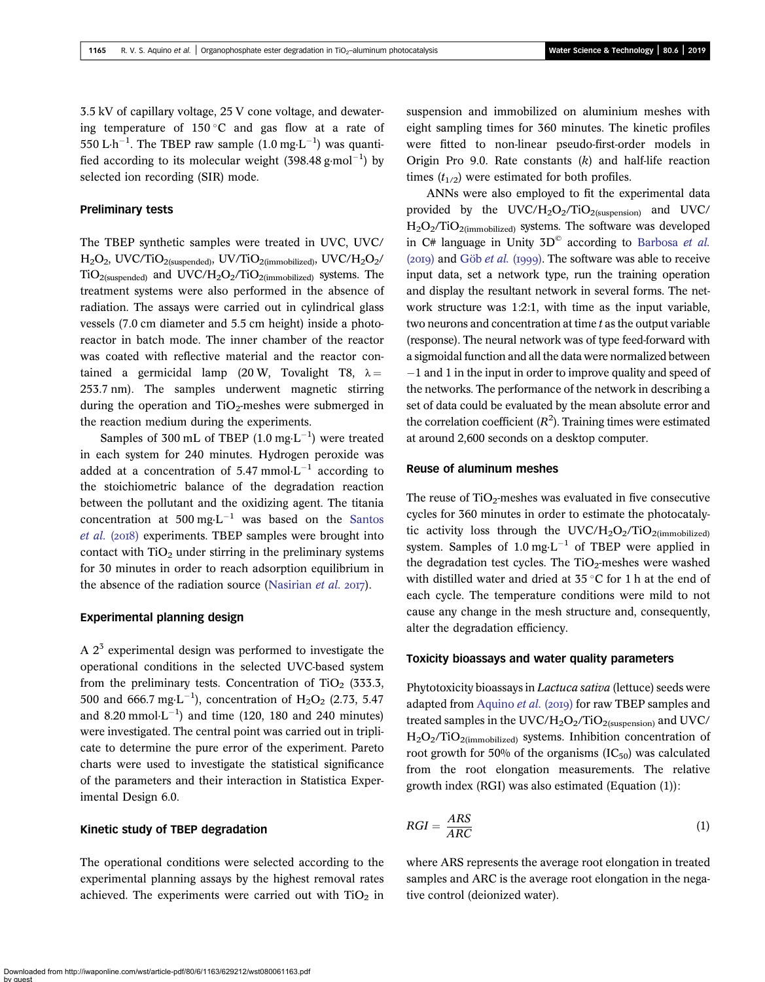3.5 kV of capillary voltage, 25 V cone voltage, and dewatering temperature of 150 °C and gas flow at a rate of 550 L·h<sup>-1</sup>. The TBEP raw sample  $(1.0 \text{ mg} \cdot \text{L}^{-1})$  was quantified according to its molecular weight  $(398.48 \text{ g} \cdot \text{mol}^{-1})$  by selected ion recording (SIR) mode.

## Preliminary tests

The TBEP synthetic samples were treated in UVC, UVC/  $H<sub>2</sub>O<sub>2</sub>$ , UVC/TiO<sub>2(suspended)</sub>, UV/TiO<sub>2(immobilized)</sub>, UVC/ $H<sub>2</sub>O<sub>2</sub>$ /  $TiO<sub>2</sub>(subended)$  and  $UVC/H<sub>2</sub>O<sub>2</sub>/TiO<sub>2</sub>(immobilized)$  systems. The treatment systems were also performed in the absence of radiation. The assays were carried out in cylindrical glass vessels (7.0 cm diameter and 5.5 cm height) inside a photoreactor in batch mode. The inner chamber of the reactor was coated with reflective material and the reactor contained a germicidal lamp (20 W, Tovalight T8,  $\lambda =$ 253.7 nm). The samples underwent magnetic stirring during the operation and  $TiO<sub>2</sub>$ -meshes were submerged in the reaction medium during the experiments.

Samples of 300 mL of TBEP  $(1.0 \text{ mg} \cdot \text{L}^{-1})$  were treated in each system for 240 minutes. Hydrogen peroxide was added at a concentration of 5.47 mmol $\cdot$ L<sup>-1</sup> according to the stoichiometric balance of the degradation reaction between the pollutant and the oxidizing agent. The titania concentration at 500 mg $\text{L}^{-1}$  was based on the [Santos](#page-9-0)  $et$  al. ( $2018$ ) experiments. TBEP samples were brought into contact with  $TiO<sub>2</sub>$  under stirring in the preliminary systems for 30 minutes in order to reach adsorption equilibrium in the absence of the radiation source ([Nasirian](#page-9-0)  $et$   $al.$   $2017$ ).

#### Experimental planning design

A  $2<sup>3</sup>$  experimental design was performed to investigate the operational conditions in the selected UVC-based system from the preliminary tests. Concentration of  $TiO<sub>2</sub>$  (333.3, 500 and 666.7 mg $L^{-1}$ ), concentration of H<sub>2</sub>O<sub>2</sub> (2.73, 5.47) and 8.20 mmol $\cdot$ L<sup>-1</sup>) and time (120, 180 and 240 minutes) were investigated. The central point was carried out in triplicate to determine the pure error of the experiment. Pareto charts were used to investigate the statistical significance of the parameters and their interaction in Statistica Experimental Design 6.0.

## Kinetic study of TBEP degradation

The operational conditions were selected according to the experimental planning assays by the highest removal rates achieved. The experiments were carried out with  $TiO<sub>2</sub>$  in suspension and immobilized on aluminium meshes with eight sampling times for 360 minutes. The kinetic profiles were fitted to non-linear pseudo-first-order models in Origin Pro 9.0. Rate constants  $(k)$  and half-life reaction times  $(t_{1/2})$  were estimated for both profiles.

ANNs were also employed to fit the experimental data provided by the  $UVC/H_2O_2/TiO_{2$ (suspension) and UVC/ H2O2/TiO2(immobilized) systems. The software was developed in  $C#$  language in Unity  $3D^{\circ}$  according to [Barbosa](#page-8-0) *et al.*  $(20I9)$  and Göb *[et al.](#page-9-0)* (1999). The software was able to receive input data, set a network type, run the training operation and display the resultant network in several forms. The network structure was 1:2:1, with time as the input variable, two neurons and concentration at time  $t$  as the output variable (response). The neural network was of type feed-forward with a sigmoidal function and all the data were normalized between  $-1$  and 1 in the input in order to improve quality and speed of the networks. The performance of the network in describing a set of data could be evaluated by the mean absolute error and the correlation coefficient  $(R^2)$ . Training times were estimated at around 2,600 seconds on a desktop computer.

#### Reuse of aluminum meshes

The reuse of  $TiO<sub>2</sub>$ -meshes was evaluated in five consecutive cycles for 360 minutes in order to estimate the photocatalytic activity loss through the  $UVC/H_2O_2/TiO_{2(mmobilized)}$ system. Samples of 1.0 mg $L^{-1}$  of TBEP were applied in the degradation test cycles. The  $TiO<sub>2</sub>$ -meshes were washed with distilled water and dried at  $35^{\circ}$ C for 1 h at the end of each cycle. The temperature conditions were mild to not cause any change in the mesh structure and, consequently, alter the degradation efficiency.

#### Toxicity bioassays and water quality parameters

Phytotoxicity bioassays in Lactuca sativa (lettuce) seeds were adapted from [Aquino](#page-8-0) et al. (2019) for raw TBEP samples and treated samples in the UVC/H<sub>2</sub>O<sub>2</sub>/TiO<sub>2(suspension)</sub> and UVC/ H<sub>2</sub>O<sub>2</sub>/TiO<sub>2(immobilized)</sub> systems. Inhibition concentration of root growth for 50% of the organisms  $(IC_{50})$  was calculated from the root elongation measurements. The relative growth index (RGI) was also estimated (Equation (1)):

$$
RGI = \frac{ARS}{ARC} \tag{1}
$$

where ARS represents the average root elongation in treated samples and ARC is the average root elongation in the negative control (deionized water).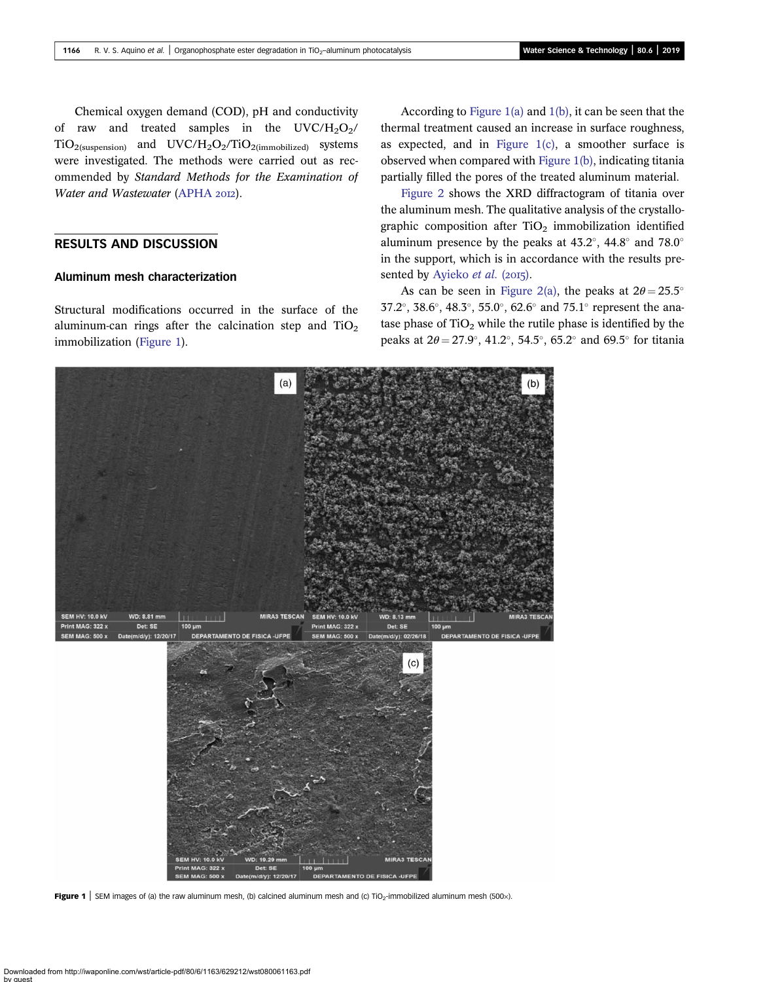<span id="page-3-0"></span>Chemical oxygen demand (COD), pH and conductivity of raw and treated samples in the  $UVC/H_2O_2/$  $TiO<sub>2</sub>(supension)$  and  $UVC/H<sub>2</sub>O<sub>2</sub>/TiO<sub>2</sub>(immobilized)$  systems were investigated. The methods were carried out as recommended by Standard Methods for the Examination of Water and Wastewater ([APHA](#page-8-0) 2012).

## RESULTS AND DISCUSSION

#### Aluminum mesh characterization

Structural modifications occurred in the surface of the aluminum-can rings after the calcination step and  $TiO<sub>2</sub>$ immobilization (Figure 1).

According to Figure 1(a) and 1(b), it can be seen that the thermal treatment caused an increase in surface roughness, as expected, and in Figure 1(c), a smoother surface is observed when compared with Figure 1(b), indicating titania partially filled the pores of the treated aluminum material.

[Figure 2](#page-4-0) shows the XRD diffractogram of titania over the aluminum mesh. The qualitative analysis of the crystallographic composition after  $TiO<sub>2</sub>$  immobilization identified aluminum presence by the peaks at  $43.2^{\circ}$ ,  $44.8^{\circ}$  and  $78.0^{\circ}$ in the support, which is in accordance with the results pre-sented by [Ayieko](#page-8-0) et al. (2015).

As can be seen in [Figure 2\(a\),](#page-4-0) the peaks at  $2\theta = 25.5^{\circ}$  $37.2^{\circ}$ ,  $38.6^{\circ}$ ,  $48.3^{\circ}$ ,  $55.0^{\circ}$ ,  $62.6^{\circ}$  and  $75.1^{\circ}$  represent the anatase phase of  $TiO<sub>2</sub>$  while the rutile phase is identified by the peaks at  $2\theta = 27.9^{\circ}$ , 41.2°, 54.5°, 65.2° and 69.5° for titania



Figure 1 | SEM images of (a) the raw aluminum mesh, (b) calcined aluminum mesh and (c) TiO<sub>2</sub>-immobilized aluminum mesh (500 $\times$ ).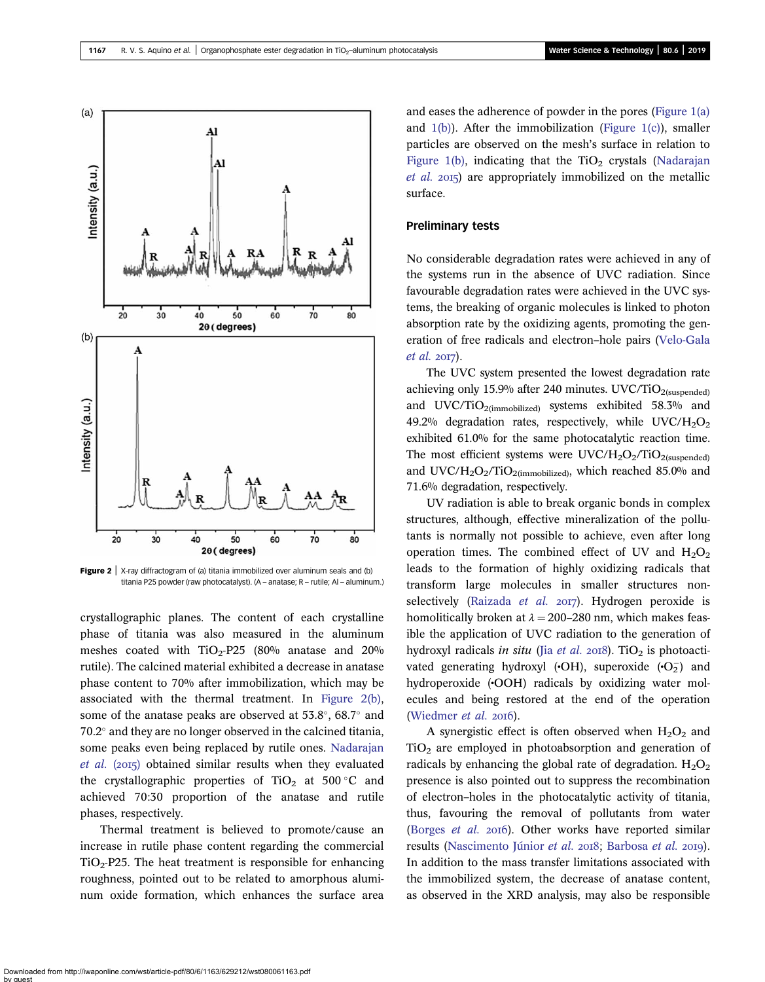<span id="page-4-0"></span>

**Figure 2** | X-ray diffractogram of (a) titania immobilized over aluminum seals and (b) titania P25 powder (raw photocatalyst). (A – anatase; R – rutile; Al – aluminum.)

crystallographic planes. The content of each crystalline phase of titania was also measured in the aluminum meshes coated with  $TiO<sub>2</sub>-P25$  (80% anatase and 20% rutile). The calcined material exhibited a decrease in anatase phase content to 70% after immobilization, which may be associated with the thermal treatment. In Figure 2(b), some of the anatase peaks are observed at  $53.8^{\circ}$ ,  $68.7^{\circ}$  and  $70.2^{\circ}$  and they are no longer observed in the calcined titania, some peaks even being replaced by rutile ones. [Nadarajan](#page-9-0)  $et \ al.$  (2015) obtained similar results when they evaluated the crystallographic properties of  $TiO<sub>2</sub>$  at 500 °C and achieved 70:30 proportion of the anatase and rutile phases, respectively.

Thermal treatment is believed to promote/cause an increase in rutile phase content regarding the commercial  $TiO<sub>2</sub>$ -P25. The heat treatment is responsible for enhancing roughness, pointed out to be related to amorphous aluminum oxide formation, which enhances the surface area and eases the adherence of powder in the pores [\(Figure 1\(a\)](#page-3-0) and [1\(b\)\)](#page-3-0). After the immobilization ([Figure 1\(c\)\)](#page-3-0), smaller particles are observed on the mesh's surface in relation to [Figure 1\(b\),](#page-3-0) indicating that the  $TiO<sub>2</sub>$  crystals [\(Nadarajan](#page-9-0)  $et \ al. 2015$  are appropriately immobilized on the metallic surface.

## Preliminary tests

No considerable degradation rates were achieved in any of the systems run in the absence of UVC radiation. Since favourable degradation rates were achieved in the UVC systems, the breaking of organic molecules is linked to photon absorption rate by the oxidizing agents, promoting the generation of free radicals and electron–hole pairs [\(Velo-Gala](#page-9-0)  $et$  al.  $2017$ ).

The UVC system presented the lowest degradation rate achieving only 15.9% after 240 minutes. UVC/TiO<sub>2(suspended)</sub> and UVC/TiO<sub>2(immobilized)</sub> systems exhibited  $58.3\%$  and 49.2% degradation rates, respectively, while  $UVC/H_2O_2$ exhibited 61.0% for the same photocatalytic reaction time. The most efficient systems were  $UVC/H_2O_2/TiO_{2$ (suspended) and UVC/H<sub>2</sub>O<sub>2</sub>/TiO<sub>2(immobilized)</sub>, which reached 85.0% and 71.6% degradation, respectively.

UV radiation is able to break organic bonds in complex structures, although, effective mineralization of the pollutants is normally not possible to achieve, even after long operation times. The combined effect of UV and  $H_2O_2$ leads to the formation of highly oxidizing radicals that transform large molecules in smaller structures non-selectively ([Raizada](#page-9-0) et al. 2017). Hydrogen peroxide is homolitically broken at  $\lambda = 200-280$  nm, which makes feasible the application of UVC radiation to the generation of hydroxyl radicals in situ (Jia [et al.](#page-9-0) 2018). TiO<sub>2</sub> is photoactivated generating hydroxyl ( $\cdot$ OH), superoxide  $(\cdot O_2^-)$  and hydroperoxide (•OOH) radicals by oxidizing water molecules and being restored at the end of the operation [\(Wiedmer](#page-10-0)  $et$  al. 2016).

A synergistic effect is often observed when  $H_2O_2$  and  $TiO<sub>2</sub>$  are employed in photoabsorption and generation of radicals by enhancing the global rate of degradation.  $H_2O_2$ presence is also pointed out to suppress the recombination of electron–holes in the photocatalytic activity of titania, thus, favouring the removal of pollutants from water [\(Borges](#page-9-0) et al. 2016). Other works have reported similar results ([Nascimento Júnior](#page-9-0) et al. 2018; [Barbosa](#page-8-0) et al. 2019). In addition to the mass transfer limitations associated with the immobilized system, the decrease of anatase content, as observed in the XRD analysis, may also be responsible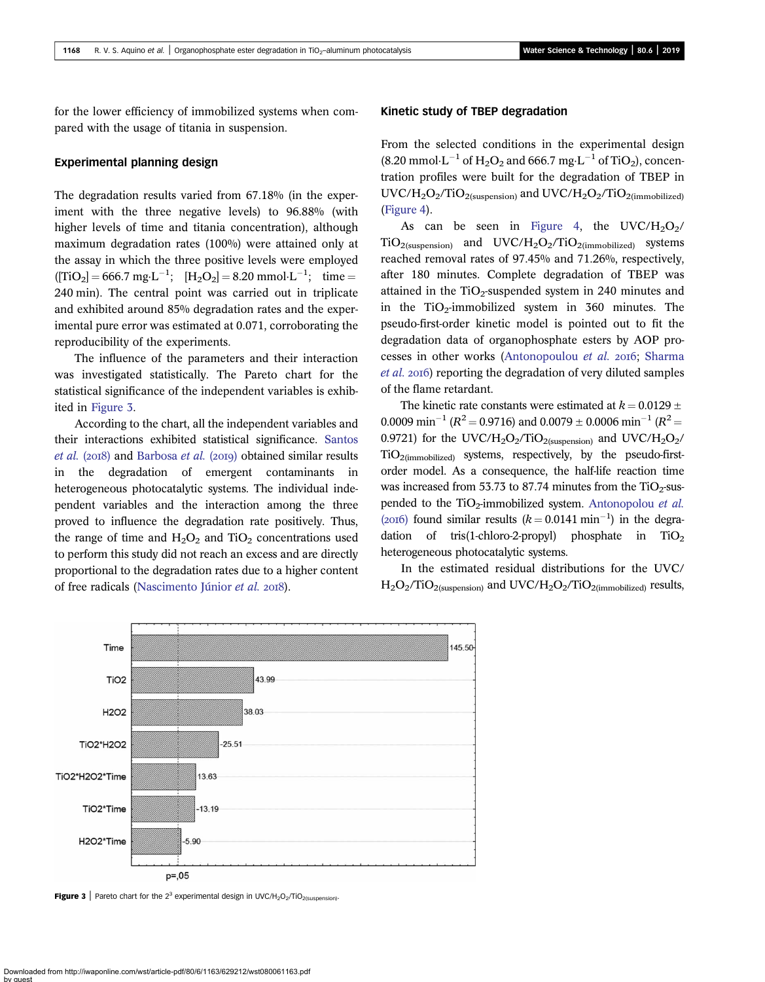for the lower efficiency of immobilized systems when compared with the usage of titania in suspension.

## Experimental planning design

The degradation results varied from 67.18% (in the experiment with the three negative levels) to 96.88% (with higher levels of time and titania concentration), although maximum degradation rates (100%) were attained only at the assay in which the three positive levels were employed  $([TiO<sub>2</sub>] = 666.7 \text{ mg} \cdot \text{L}^{-1}; [H<sub>2</sub>O<sub>2</sub>] = 8.20 \text{ mmol} \cdot \text{L}^{-1}; \text{ time} =$ 240 min). The central point was carried out in triplicate and exhibited around 85% degradation rates and the experimental pure error was estimated at 0.071, corroborating the reproducibility of the experiments.

The influence of the parameters and their interaction was investigated statistically. The Pareto chart for the statistical significance of the independent variables is exhibited in Figure 3.

According to the chart, all the independent variables and their interactions exhibited statistical significance. [Santos](#page-9-0)  $et$  al. (2018) and [Barbosa](#page-8-0)  $et$  al. (2019) obtained similar results in the degradation of emergent contaminants in heterogeneous photocatalytic systems. The individual independent variables and the interaction among the three proved to influence the degradation rate positively. Thus, the range of time and  $H_2O_2$  and  $TiO_2$  concentrations used to perform this study did not reach an excess and are directly proportional to the degradation rates due to a higher content of free radicals [\(Nascimento Júnior](#page-9-0) et al. 2018).

## Kinetic study of TBEP degradation

From the selected conditions in the experimental design  $(8.20 \text{ mmol} \cdot \text{L}^{-1} \text{ of H}_2\text{O}_2 \text{ and } 666.7 \text{ mg} \cdot \text{L}^{-1} \text{ of TiO}_2)$ , concentration profiles were built for the degradation of TBEP in  $UVC/H<sub>2</sub>O<sub>2</sub>/TiO<sub>2</sub>(subpension)$  and  $UVC/H<sub>2</sub>O<sub>2</sub>/TiO<sub>2</sub>(immobilized)$ ([Figure 4\)](#page-6-0).

As can be seen in [Figure 4,](#page-6-0) the UVC/H<sub>2</sub>O<sub>2</sub>/  $TiO<sub>2</sub>(suspension)$  and  $UVC/H<sub>2</sub>O<sub>2</sub>/TiO<sub>2</sub>(immobilized)$  systems reached removal rates of 97.45% and 71.26%, respectively, after 180 minutes. Complete degradation of TBEP was attained in the  $TiO<sub>2</sub>$ -suspended system in 240 minutes and in the  $TiO<sub>2</sub>$ -immobilized system in 360 minutes. The pseudo-first-order kinetic model is pointed out to fit the degradation data of organophosphate esters by AOP pro-cesses in other works ([Antonopoulou](#page-8-0) et al. 2016; [Sharma](#page-9-0) [et al.](#page-9-0) 2016) reporting the degradation of very diluted samples of the flame retardant.

The kinetic rate constants were estimated at  $k = 0.0129 \pm 1.0129$ 0.0009 min<sup>-1</sup> ( $R^2$  = 0.9716) and 0.0079 ± 0.0006 min<sup>-1</sup> ( $R^2$  = 0.9721) for the UVC/H<sub>2</sub>O<sub>2</sub>/TiO<sub>2(suspension)</sub> and UVC/H<sub>2</sub>O<sub>2</sub>/ TiO2(immobilized) systems, respectively, by the pseudo-firstorder model. As a consequence, the half-life reaction time was increased from 53.73 to 87.74 minutes from the  $TiO<sub>2</sub>$ -suspended to the  $TiO<sub>2</sub>$ -immobilized system. [Antonopolou](#page-8-0) *et al.* (2016) found similar results  $(k = 0.0141 \text{ min}^{-1})$  in the degradation of tris(1-chloro-2-propyl) phosphate in  $TiO<sub>2</sub>$ heterogeneous photocatalytic systems.

In the estimated residual distributions for the UVC/  $H_2O_2/TiO_{2(suspension)}$  and UVC/ $H_2O_2/TiO_{2(mmobilized)}$  results,



**Figure 3** Pareto chart for the  $2^3$  experimental design in UVC/H<sub>2</sub>O<sub>2</sub>/TiO<sub>2(suspension)</sub>.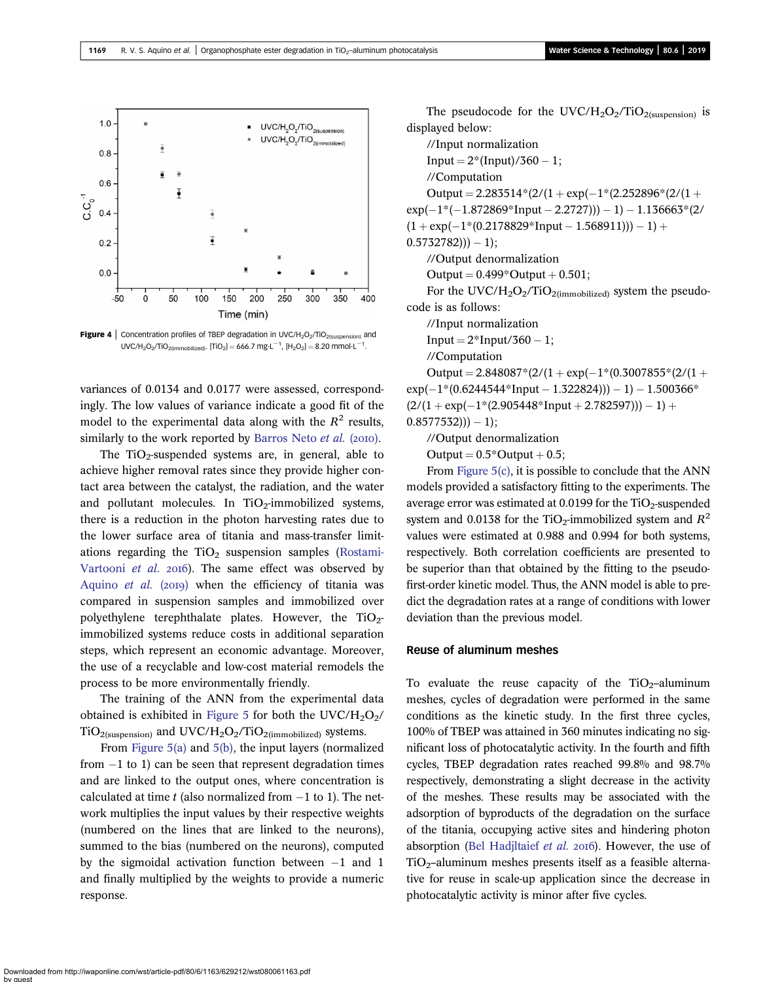<span id="page-6-0"></span>

**Figure 4** | Concentration profiles of TBEP degradation in UVC/H<sub>2</sub>O<sub>2</sub>/TiO<sub>2(suspension)</sub> and  $UVC/H_2O_2/TiO_{2(immobilized)}$ . [TiO<sub>2</sub>] = 666.7 mg·L<sup>-1</sup>, [H<sub>2</sub>O<sub>2</sub>] = 8.20 mmol·L<sup>-1</sup>.

variances of 0.0134 and 0.0177 were assessed, correspondingly. The low values of variance indicate a good fit of the model to the experimental data along with the  $R^2$  results, similarly to the work reported by [Barros Neto](#page-9-0)  $et$   $al.$  (2010).

The  $TiO<sub>2</sub>$ -suspended systems are, in general, able to achieve higher removal rates since they provide higher contact area between the catalyst, the radiation, and the water and pollutant molecules. In  $TiO<sub>2</sub>$ -immobilized systems, there is a reduction in the photon harvesting rates due to the lower surface area of titania and mass-transfer limitations regarding the  $TiO<sub>2</sub>$  suspension samples ([Rostami-](#page-9-0)[Vartooni](#page-9-0) et al. 2016). The same effect was observed by [Aquino](#page-8-0) et al. (2019) when the efficiency of titania was compared in suspension samples and immobilized over polyethylene terephthalate plates. However, the  $TiO<sub>2</sub>$ immobilized systems reduce costs in additional separation steps, which represent an economic advantage. Moreover, the use of a recyclable and low-cost material remodels the process to be more environmentally friendly.

The training of the ANN from the experimental data obtained is exhibited in [Figure 5](#page-7-0) for both the UVC/H<sub>2</sub>O<sub>2</sub>/  $TiO<sub>2</sub>(suspension)$  and  $UVC/H<sub>2</sub>O<sub>2</sub>/TiO<sub>2</sub>(immobilized)$  systems.

From [Figure 5\(a\)](#page-7-0) and [5\(b\),](#page-7-0) the input layers (normalized from  $-1$  to 1) can be seen that represent degradation times and are linked to the output ones, where concentration is calculated at time t (also normalized from  $-1$  to 1). The network multiplies the input values by their respective weights (numbered on the lines that are linked to the neurons), summed to the bias (numbered on the neurons), computed by the sigmoidal activation function between  $-1$  and 1 and finally multiplied by the weights to provide a numeric response.

The pseudocode for the UVC/H<sub>2</sub>O<sub>2</sub>/TiO<sub>2(suspension)</sub> is displayed below:

//Input normalization  $Input = 2*(Input)/360 - 1;$ //Computation

Output =  $2.283514*(2/(1 + \exp(-1)(2.252896)(2/(1 +$  $exp(-1*(-1.872869*Input - 2.2727)) - 1) - 1.136663*(2/$  $(1 + \exp(-1*(0.2178829*Input - 1.568911))) - 1) +$  $(0.5732782)) - 1);$ //Output denormalization

Output =  $0.499*$ Output +  $0.501$ :

For the UVC/H<sub>2</sub>O<sub>2</sub>/TiO<sub>2(immobilized)</sub> system the pseudocode is as follows:

//Input normalization

Input  $= 2*$ Input/360  $- 1;$ 

//Computation

Output =  $2.848087*(2/(1 + \exp(-1*(0.3007855*(2/(1 +$  $exp(-1*(0.6244544*Input - 1.322824)) - 1) - 1.500366*$  $(2/(1 + \exp(-1)/(2.905448) \cdot \ln \pi) + 2.782597)) - 1) +$  $(0.8577532)) - 1$ ;

//Output denormalization

Output  $= 0.5^*$ Output  $+ 0.5$ ;

From [Figure 5\(c\),](#page-7-0) it is possible to conclude that the ANN models provided a satisfactory fitting to the experiments. The average error was estimated at 0.0199 for the  $TiO<sub>2</sub>$ -suspended system and 0.0138 for the TiO<sub>2</sub>-immobilized system and  $R^2$ values were estimated at 0.988 and 0.994 for both systems, respectively. Both correlation coefficients are presented to be superior than that obtained by the fitting to the pseudofirst-order kinetic model. Thus, the ANN model is able to predict the degradation rates at a range of conditions with lower deviation than the previous model.

## Reuse of aluminum meshes

To evaluate the reuse capacity of the  $TiO<sub>2</sub>$ -aluminum meshes, cycles of degradation were performed in the same conditions as the kinetic study. In the first three cycles, 100% of TBEP was attained in 360 minutes indicating no significant loss of photocatalytic activity. In the fourth and fifth cycles, TBEP degradation rates reached 99.8% and 98.7% respectively, demonstrating a slight decrease in the activity of the meshes. These results may be associated with the adsorption of byproducts of the degradation on the surface of the titania, occupying active sites and hindering photon absorption [\(Bel Hadjltaief](#page-9-0) et al. 2016). However, the use of  $TiO<sub>2</sub>$ –aluminum meshes presents itself as a feasible alternative for reuse in scale-up application since the decrease in photocatalytic activity is minor after five cycles.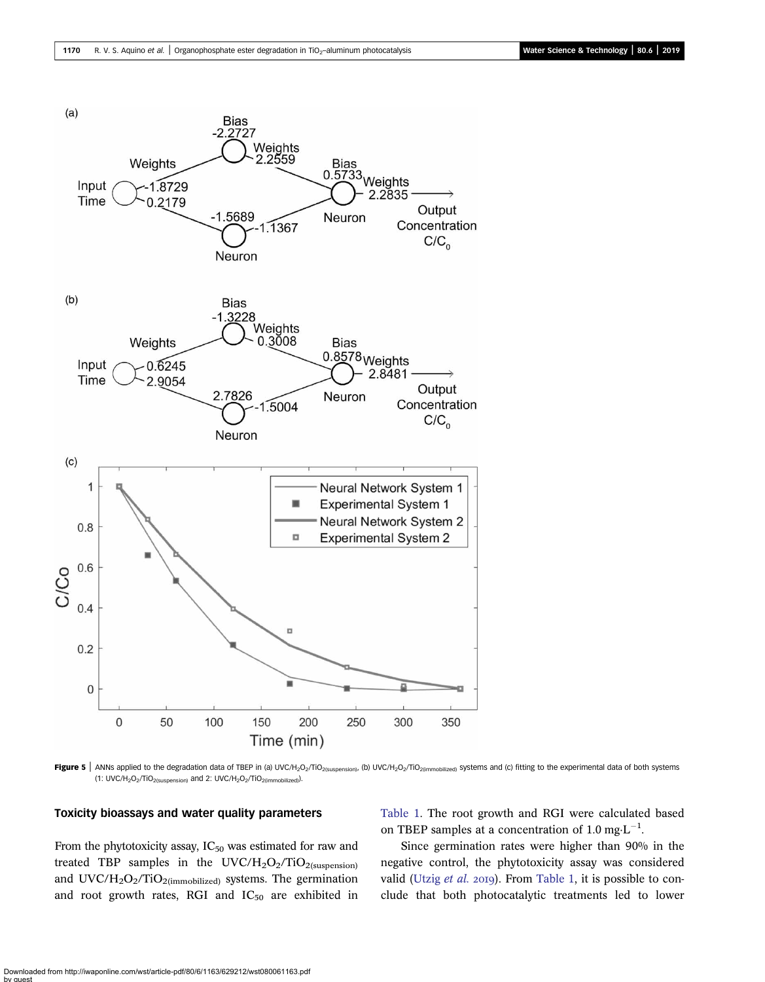<span id="page-7-0"></span>

Figure 5 | ANNs applied to the degradation data of TBEP in (a) UVC/H<sub>2</sub>O<sub>2</sub>/TiO<sub>2(suspension)</sub>, (b) UVC/H<sub>2</sub>O<sub>2</sub>/TiO<sub>2(immobilized) systems and (c) fitting to the experimental data of both systems</sub> (1: UVC/H<sub>2</sub>O<sub>2</sub>/TiO<sub>2(suspension)</sub> and 2: UVC/H<sub>2</sub>O<sub>2</sub>/TiO<sub>2(immobilized)</sub>).

#### Toxicity bioassays and water quality parameters

From the phytotoxicity assay,  $IC_{50}$  was estimated for raw and treated TBP samples in the  $UVC/H_2O_2/TiO_{2(suspension)}$ and  $UVC/H_2O_2/TiO_{2(immobilized)}$  systems. The germination and root growth rates, RGI and  $IC_{50}$  are exhibited in [Table 1.](#page-8-0) The root growth and RGI were calculated based on TBEP samples at a concentration of 1.0 mg $\cdot L^{-1}$ .

Since germination rates were higher than 90% in the negative control, the phytotoxicity assay was considered valid [\(Utzig](#page-9-0) et al. 2019). From [Table 1,](#page-8-0) it is possible to conclude that both photocatalytic treatments led to lower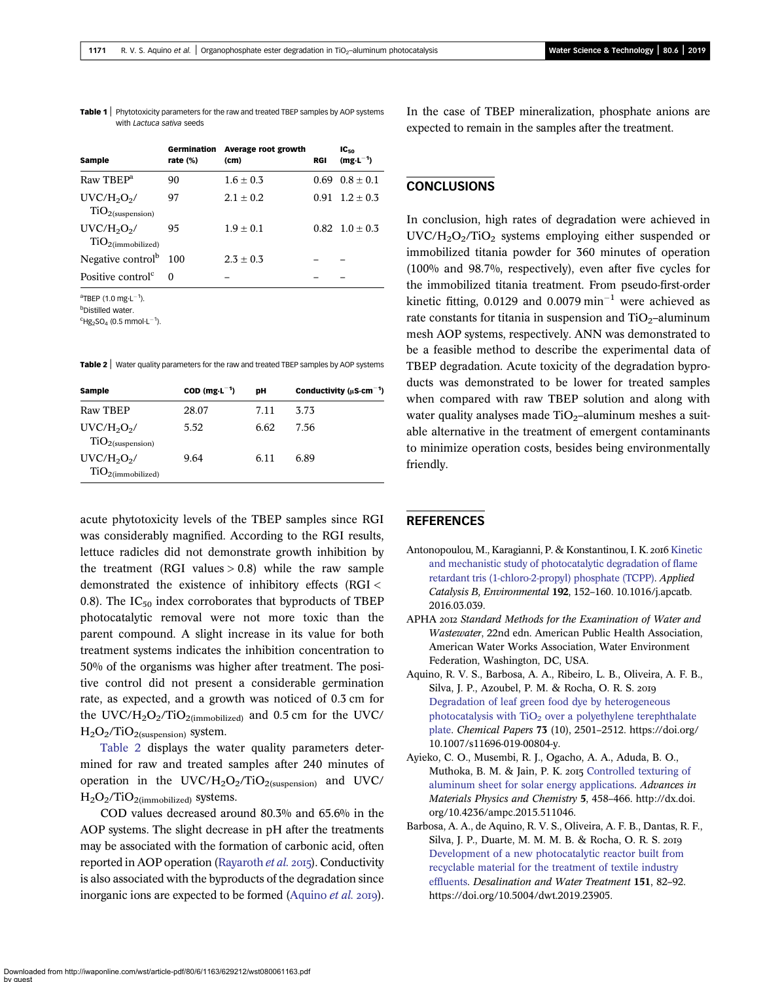<span id="page-8-0"></span>Table 1 | Phytotoxicity parameters for the raw and treated TBEP samples by AOP systems with Lactuca sativa seeds

| <b>Sample</b>                                  | Germination<br>rate $(\%)$ | Average root growth<br>(c <sub>m</sub> ) | <b>RGI</b> | $IC_{50}$<br>$(mg·L^{-1})$ |
|------------------------------------------------|----------------------------|------------------------------------------|------------|----------------------------|
| Raw TBEP <sup>a</sup>                          | 90                         | $1.6 + 0.3$                              | 0.69       | $0.8 + 0.1$                |
| $UVC/H2O2$ /<br>TiO <sub>2</sub> (suspension)  | 97                         | $2.1 + 0.2$                              |            | $0.91 \quad 1.2 \pm 0.3$   |
| $UVC/H2O2$ /<br>TiO <sub>2</sub> (immobilized) | 95                         | $1.9 + 0.1$                              |            | $0.82 \quad 1.0 \pm 0.3$   |
| Negative control <sup>b</sup>                  | 100                        | $2.3 + 0.3$                              |            |                            |
| Positive control <sup>c</sup>                  | 0                          |                                          |            |                            |

 $\mathrm{aT}$ BEP (1.0 mg·L $^{-1}$ ).

<sup>b</sup>Distilled water.

 ${}^{c}$ Hg<sub>2</sub>SO<sub>4</sub> (0.5 mmol·L<sup>-1</sup>).

Table 2 | Water quality parameters for the raw and treated TBEP samples by AOP systems

| Sample                                         | $COD$ (mg $\cdot L^{-1}$ ) | DН   | Conductivity ( $\mu$ S $\cdot$ cm <sup>-1</sup> ) |
|------------------------------------------------|----------------------------|------|---------------------------------------------------|
| Raw TBEP                                       | 28.07                      | 7.11 | 3.73                                              |
| $UVC/H2O2$ /<br>TiO <sub>2</sub> (suspension)  | 5.52                       | 6.62 | 7.56                                              |
| $UVC/H2O2$ /<br>TiO <sub>2</sub> (immobilized) | 9.64                       | 6.11 | 6.89                                              |

acute phytotoxicity levels of the TBEP samples since RGI was considerably magnified. According to the RGI results, lettuce radicles did not demonstrate growth inhibition by the treatment (RGI values  $> 0.8$ ) while the raw sample demonstrated the existence of inhibitory effects (RGI < 0.8). The  $IC_{50}$  index corroborates that byproducts of TBEP photocatalytic removal were not more toxic than the parent compound. A slight increase in its value for both treatment systems indicates the inhibition concentration to 50% of the organisms was higher after treatment. The positive control did not present a considerable germination rate, as expected, and a growth was noticed of 0.3 cm for the UVC/ $H_2O_2/TiO_{2(mmobilized)}$  and 0.5 cm for the UVC/  $H<sub>2</sub>O<sub>2</sub>/TiO<sub>2</sub>(suspension)$  system.

Table 2 displays the water quality parameters determined for raw and treated samples after 240 minutes of operation in the  $UVC/H_2O_2/TiO_{2(suspension)}$  and  $UVC/H_2$  $H<sub>2</sub>O<sub>2</sub>/TiO<sub>2</sub>(immobilized)$  systems.

COD values decreased around 80.3% and 65.6% in the AOP systems. The slight decrease in pH after the treatments may be associated with the formation of carbonic acid, often reported in AOP operation ([Rayaroth](#page-9-0) et al. 2015). Conductivity is also associated with the byproducts of the degradation since inorganic ions are expected to be formed (Aquino *et al.* 2019). In the case of TBEP mineralization, phosphate anions are expected to remain in the samples after the treatment.

## **CONCLUSIONS**

In conclusion, high rates of degradation were achieved in  $UVC/H<sub>2</sub>O<sub>2</sub>/TiO<sub>2</sub>$  systems employing either suspended or immobilized titania powder for 360 minutes of operation (100% and 98.7%, respectively), even after five cycles for the immobilized titania treatment. From pseudo-first-order kinetic fitting, 0.0129 and 0.0079  $min^{-1}$  were achieved as rate constants for titania in suspension and  $TiO<sub>2</sub>$ –aluminum mesh AOP systems, respectively. ANN was demonstrated to be a feasible method to describe the experimental data of TBEP degradation. Acute toxicity of the degradation byproducts was demonstrated to be lower for treated samples when compared with raw TBEP solution and along with water quality analyses made  $TiO<sub>2</sub>$ -aluminum meshes a suitable alternative in the treatment of emergent contaminants to minimize operation costs, besides being environmentally friendly.

## **REFERENCES**

- Antonopoulou, M., Karagianni, P. & Konstantinou, I. K. 2016 [Kinetic](http://dx.doi.org/10.1016/j.apcatb.2016.03.039) [and mechanistic study of photocatalytic degradation of flame](http://dx.doi.org/10.1016/j.apcatb.2016.03.039) [retardant tris \(1-chloro-2-propyl\) phosphate \(TCPP\).](http://dx.doi.org/10.1016/j.apcatb.2016.03.039) Applied Catalysis B, Environmental 192, 152–160. 10.1016/j.apcatb. 2016.03.039.
- APHA 2012 Standard Methods for the Examination of Water and Wastewater, 22nd edn. American Public Health Association, American Water Works Association, Water Environment Federation, Washington, DC, USA.
- Aquino, R. V. S., Barbosa, A. A., Ribeiro, L. B., Oliveira, A. F. B., Silva, J. P., Azoubel, P. M. & Rocha, O. R. S. [Degradation of leaf green food dye by heterogeneous](http://dx.doi.org/10.1007/s11696-019-00804-y) photocatalysis with  $TiO<sub>2</sub>$  [over a polyethylene terephthalate](http://dx.doi.org/10.1007/s11696-019-00804-y) [plate.](http://dx.doi.org/10.1007/s11696-019-00804-y) Chemical Papers 73 (10), 2501–2512. https://doi.org/ 10.1007/s11696-019-00804-y.
- Ayieko, C. O., Musembi, R. J., Ogacho, A. A., Aduda, B. O., Muthoka, B. M. & Jain, P. K. 2015 [Controlled texturing of](http://dx.doi.org/10.4236/ampc.2015.511046) [aluminum sheet for solar energy applications.](http://dx.doi.org/10.4236/ampc.2015.511046) Advances in Materials Physics and Chemistry 5, 458–466. http://dx.doi. org/10.4236/ampc.2015.511046.
- Barbosa, A. A., de Aquino, R. V. S., Oliveira, A. F. B., Dantas, R. F., Silva, J. P., Duarte, M. M. M. B. & Rocha, O. R. S. [Development of a new photocatalytic reactor built from](http://dx.doi.org/10.5004/dwt.2019.23905) [recyclable material for the treatment of textile industry](http://dx.doi.org/10.5004/dwt.2019.23905) [effluents](http://dx.doi.org/10.5004/dwt.2019.23905). Desalination and Water Treatment 151, 82–92. https://doi.org/10.5004/dwt.2019.23905.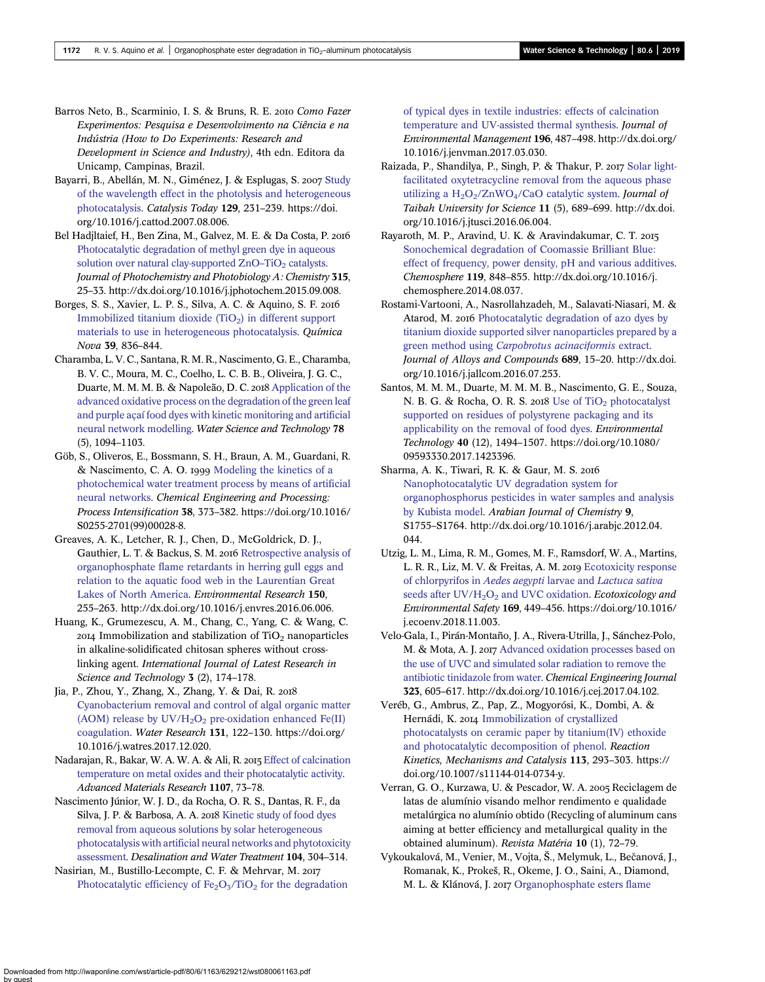- <span id="page-9-0"></span>Barros Neto, B., Scarminio, I. S. & Bruns, R. E. 2010 Como Fazer Experimentos: Pesquisa e Desenvolvimento na Ciência e na Indústria (How to Do Experiments: Research and Development in Science and Industry), 4th edn. Editora da Unicamp, Campinas, Brazil.
- Bayarri, B., Abellán, M. N., Giménez, J. & Esplugas, S. 2007 [Study](http://dx.doi.org/10.1016/j.cattod.2007.08.006) [of the wavelength effect in the photolysis and heterogeneous](http://dx.doi.org/10.1016/j.cattod.2007.08.006) [photocatalysis](http://dx.doi.org/10.1016/j.cattod.2007.08.006). Catalysis Today 129, 231–239. https://doi. org/10.1016/j.cattod.2007.08.006.
- Bel Hadjltaief, H., Ben Zina, M., Galvez, M. E. & Da Costa, P. [Photocatalytic degradation of methyl green dye in aqueous](http://dx.doi.org/10.1016/j.jphotochem.2015.09.008) [solution over natural clay-supported ZnO](http://dx.doi.org/10.1016/j.jphotochem.2015.09.008)-TiO<sub>2</sub> [catalysts](http://dx.doi.org/10.1016/j.jphotochem.2015.09.008). Journal of Photochemistry and Photobiology A: Chemistry 315, 25–33. http://dx.doi.org/10.1016/j.jphotochem.2015.09.008.
- Borges, S. S., Xavier, L. P. S., Silva, A. C. & Aquino, S. F. Immobilized titanium dioxide  $(TiO<sub>2</sub>)$  in different support [materials to use in heterogeneous photocatalysis.](http://dx.doi.org/10.5935/0100-4042.20160106) Química Nova 39, 836–844.
- Charamba, L. V. C., Santana, R.M. R., Nascimento, G. E., Charamba, B. V. C., Moura, M. C., Coelho, L. C. B. B., Oliveira, J. G. C., Duarte, M. M. M. B. & Napoleão, D. C. 2018 [Application of the](http://dx.doi.org/10.2166/wst.2018.391) [advanced oxidative process on the degradation of the green leaf](http://dx.doi.org/10.2166/wst.2018.391) [and purple açaí food dyes with kinetic monitoring and artificial](http://dx.doi.org/10.2166/wst.2018.391) [neural network modelling.](http://dx.doi.org/10.2166/wst.2018.391) Water Science and Technology 78 (5), 1094–1103.
- Göb, S., Oliveros, E., Bossmann, S. H., Braun, A. M., Guardani, R. & Nascimento, C. A. O. 1999 [Modeling the kinetics of a](http://dx.doi.org/10.1016/S0255-2701(99)00028-8) [photochemical water treatment process by means of artificial](http://dx.doi.org/10.1016/S0255-2701(99)00028-8) [neural networks](http://dx.doi.org/10.1016/S0255-2701(99)00028-8). Chemical Engineering and Processing: Process Intensification 38, 373–382. https://doi.org/10.1016/ S0255-2701(99)00028-8.
- Greaves, A. K., Letcher, R. J., Chen, D., McGoldrick, D. J., Gauthier, L. T. & Backus, S. M. 2016 [Retrospective analysis of](http://dx.doi.org/10.1016/j.envres.2016.06.006) [organophosphate flame retardants in herring gull eggs and](http://dx.doi.org/10.1016/j.envres.2016.06.006) [relation to the aquatic food web in the Laurentian Great](http://dx.doi.org/10.1016/j.envres.2016.06.006) [Lakes of North America](http://dx.doi.org/10.1016/j.envres.2016.06.006). Environmental Research 150, 255–263. http://dx.doi.org/10.1016/j.envres.2016.06.006.
- Huang, K., Grumezescu, A. M., Chang, C., Yang, C. & Wang, C.  $2014$  Immobilization and stabilization of TiO<sub>2</sub> nanoparticles in alkaline-solidificated chitosan spheres without crosslinking agent. International Journal of Latest Research in Science and Technology **3** (2), 174–178.
- Jia, P., Zhou, Y., Zhang, X., Zhang, Y. & Dai, R. [Cyanobacterium removal and control of algal organic matter](http://dx.doi.org/10.1016/j.watres.2017.12.020) (AOM) release by  $UV/H<sub>2</sub>O<sub>2</sub>$  [pre-oxidation enhanced Fe\(II\)](http://dx.doi.org/10.1016/j.watres.2017.12.020) [coagulation](http://dx.doi.org/10.1016/j.watres.2017.12.020). Water Research 131, 122–130. https://doi.org/ 10.1016/j.watres.2017.12.020.
- Nadarajan, R., Bakar, W. A. W. A. & Ali, R. 2015 [Effect of calcination](http://dx.doi.org/10.4028/www.scientific.net/AMR.1107.73) [temperature on metal oxides and their photocatalytic activity.](http://dx.doi.org/10.4028/www.scientific.net/AMR.1107.73) Advanced Materials Research 1107, 73–78.
- Nascimento Júnior, W. J. D., da Rocha, O. R. S., Dantas, R. F., da Silva, J. P. & Barbosa, A. A. 2018 [Kinetic study of food dyes](http://dx.doi.org/10.5004/dwt.2018.21841) [removal from aqueous solutions by solar heterogeneous](http://dx.doi.org/10.5004/dwt.2018.21841) [photocatalysis with artificial neural networks and phytotoxicity](http://dx.doi.org/10.5004/dwt.2018.21841) [assessment](http://dx.doi.org/10.5004/dwt.2018.21841). Desalination and Water Treatment 104, 304–314.
- Nasirian, M., Bustillo-Lecompte, C. F. & Mehrvar, M. Photocatalytic efficiency of  $Fe<sub>2</sub>O<sub>3</sub>/TiO<sub>2</sub>$  [for the degradation](http://dx.doi.org/10.1016/j.jenvman.2017.03.030)

[of typical dyes in textile industries: effects of calcination](http://dx.doi.org/10.1016/j.jenvman.2017.03.030) [temperature and UV-assisted thermal synthesis](http://dx.doi.org/10.1016/j.jenvman.2017.03.030). Journal of Environmental Management 196, 487–498. http://dx.doi.org/ 10.1016/j.jenvman.2017.03.030.

- Raizada, P., Shandilya, P., Singh, P. & Thakur, P. 2017 [Solar light](http://dx.doi.org/10.1016/j.jtusci.2016.06.004)[facilitated oxytetracycline removal from the aqueous phase](http://dx.doi.org/10.1016/j.jtusci.2016.06.004) utilizing a  $H_2O_2/ZnWO_4/CaO$  catalytic system. Journal of Taibah University for Science 11 (5), 689–699. http://dx.doi. org/10.1016/j.jtusci.2016.06.004.
- Rayaroth, M. P., Aravind, U. K. & Aravindakumar, C. T. [Sonochemical degradation of Coomassie Brilliant Blue:](http://dx.doi.org/10.1016/j.chemosphere.2014.08.037) [effect of frequency, power density, pH and various additives](http://dx.doi.org/10.1016/j.chemosphere.2014.08.037). Chemosphere 119, 848–855. http://dx.doi.org/10.1016/j. chemosphere.2014.08.037.
- Rostami-Vartooni, A., Nasrollahzadeh, M., Salavati-Niasari, M. & Atarod, M. 2016 [Photocatalytic degradation of azo dyes by](http://dx.doi.org/10.1016/j.jallcom.2016.07.253) [titanium dioxide supported silver nanoparticles prepared by a](http://dx.doi.org/10.1016/j.jallcom.2016.07.253) green method using [Carpobrotus acinaciformis](http://dx.doi.org/10.1016/j.jallcom.2016.07.253) extract. Journal of Alloys and Compounds 689, 15–20. http://dx.doi. org/10.1016/j.jallcom.2016.07.253.
- Santos, M. M. M., Duarte, M. M. M. B., Nascimento, G. E., Souza, N. B. G. & Rocha, O. R. S. 2018 Use of  $TiO<sub>2</sub>$  [photocatalyst](http://dx.doi.org/10.1080/09593330.2017.1423396) [supported on residues of polystyrene packaging and its](http://dx.doi.org/10.1080/09593330.2017.1423396) [applicability on the removal of food dyes](http://dx.doi.org/10.1080/09593330.2017.1423396). Environmental Technology 40 (12), 1494–1507. https://doi.org/10.1080/ 09593330.2017.1423396.
- Sharma, A. K., Tiwari, R. K. & Gaur, M. S. [Nanophotocatalytic UV degradation system for](http://dx.doi.org/10.1016/j.arabjc.2012.04.044) [organophosphorus pesticides in water samples and analysis](http://dx.doi.org/10.1016/j.arabjc.2012.04.044) [by Kubista model.](http://dx.doi.org/10.1016/j.arabjc.2012.04.044) Arabian Journal of Chemistry 9, S1755–S1764. http://dx.doi.org/10.1016/j.arabjc.2012.04. 044.
- Utzig, L. M., Lima, R. M., Gomes, M. F., Ramsdorf, W. A., Martins, L. R. R., Liz, M. V. & Freitas, A. M. 2019 [Ecotoxicity response](http://dx.doi.org/10.1016/j.ecoenv.2018.11.003) [of chlorpyrifos in](http://dx.doi.org/10.1016/j.ecoenv.2018.11.003) Aedes aegypti larvae and Lactuca sativa seeds after  $UV/H_2O_2$  [and UVC oxidation](http://dx.doi.org/10.1016/j.ecoenv.2018.11.003). Ecotoxicology and Environmental Safety 169, 449–456. https://doi.org/10.1016/ j.ecoenv.2018.11.003.
- Velo-Gala, I., Pirán-Montaño, J. A., Rivera-Utrilla, J., Sánchez-Polo, M. & Mota, A. J. 2017 [Advanced oxidation processes based on](http://dx.doi.org/10.1016/j.cej.2017.04.102) [the use of UVC and simulated solar radiation to remove the](http://dx.doi.org/10.1016/j.cej.2017.04.102) [antibiotic tinidazole from water](http://dx.doi.org/10.1016/j.cej.2017.04.102). Chemical Engineering Journal 323, 605–617. http://dx.doi.org/10.1016/j.cej.2017.04.102.
- Veréb, G., Ambrus, Z., Pap, Z., Mogyorósi, K., Dombi, A. & Hernádi, K. 2014 [Immobilization of crystallized](http://dx.doi.org/10.1007/s11144-014-0734-y) [photocatalysts on ceramic paper by titanium\(IV\) ethoxide](http://dx.doi.org/10.1007/s11144-014-0734-y) [and photocatalytic decomposition of phenol.](http://dx.doi.org/10.1007/s11144-014-0734-y) Reaction Kinetics, Mechanisms and Catalysis 113, 293–303. https:// doi.org/10.1007/s11144-014-0734-y.
- Verran, G. O., Kurzawa, U. & Pescador, W. A. 2005 Reciclagem de latas de alumínio visando melhor rendimento e qualidade metalúrgica no alumínio obtido (Recycling of aluminum cans aiming at better efficiency and metallurgical quality in the obtained aluminum). Revista Matéria 10 (1), 72–79.
- Vykoukalová, M., Venier, M., Vojta, Š., Melymuk, L., Bečanová, J., Romanak, K., Prokeš, R., Okeme, J. O., Saini, A., Diamond, M. L. & Klánová, J. 2017 [Organophosphate esters flame](http://dx.doi.org/10.1016/j.envint.2017.05.020)